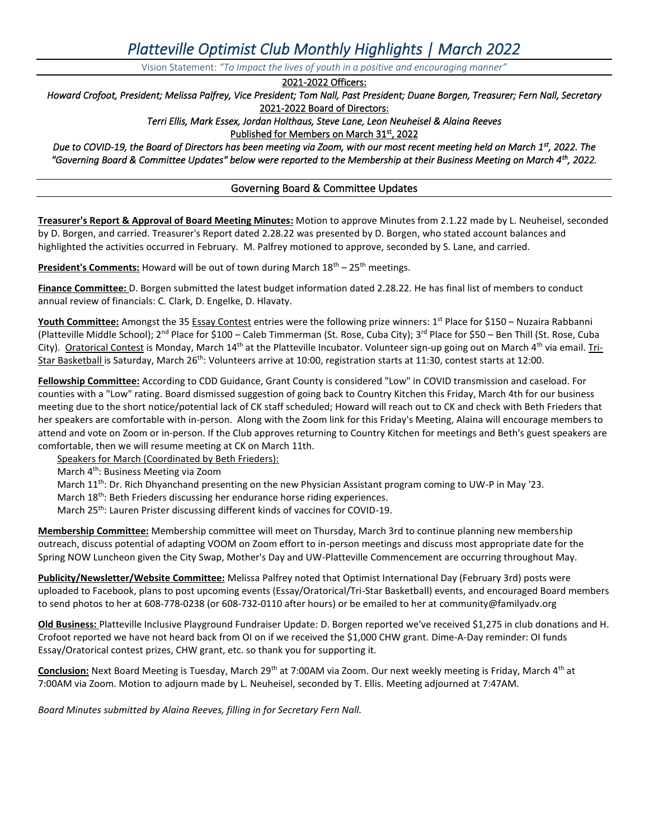# *Platteville Optimist Club Monthly Highlights | March 2022*

Vision Statement: *"To Impact the lives of youth in a positive and encouraging manner"*

2021-2022 Officers:

*Howard Crofoot, President; Melissa Palfrey, Vice President; Tom Nall, Past President; Duane Borgen, Treasurer; Fern Nall, Secretary* 2021-2022 Board of Directors:

*Terri Ellis, Mark Essex, Jordan Holthaus, Steve Lane, Leon Neuheisel & Alaina Reeves*

Published for Members on March 31st, 2022

*Due to COVID-19, the Board of Directors has been meeting via Zoom, with our most recent meeting held on March 1st, 2022. The "Governing Board & Committee Updates" below were reported to the Membership at their Business Meeting on March 4th, 2022.* 

# Governing Board & Committee Updates

**Treasurer's Report & Approval of Board Meeting Minutes:** Motion to approve Minutes from 2.1.22 made by L. Neuheisel, seconded by D. Borgen, and carried. Treasurer's Report dated 2.28.22 was presented by D. Borgen, who stated account balances and highlighted the activities occurred in February. M. Palfrey motioned to approve, seconded by S. Lane, and carried.

**President's Comments:** Howard will be out of town during March 18<sup>th</sup> – 25<sup>th</sup> meetings.

**Finance Committee:** D. Borgen submitted the latest budget information dated 2.28.22. He has final list of members to conduct annual review of financials: C. Clark, D. Engelke, D. Hlavaty.

**Youth Committee:** Amongst the 35 Essay Contest entries were the following prize winners: 1 st Place for \$150 – Nuzaira Rabbanni (Platteville Middle School); 2<sup>nd</sup> Place for \$100 – Caleb Timmerman (St. Rose, Cuba City); 3<sup>rd</sup> Place for \$50 – Ben Thill (St. Rose, Cuba City). Oratorical Contest is Monday, March 14<sup>th</sup> at the Platteville Incubator. Volunteer sign-up going out on March 4<sup>th</sup> via email. Tri-Star Basketball is Saturday, March 26<sup>th</sup>: Volunteers arrive at 10:00, registration starts at 11:30, contest starts at 12:00.

**Fellowship Committee:** According to CDD Guidance, Grant County is considered "Low" in COVID transmission and caseload. For counties with a "Low" rating. Board dismissed suggestion of going back to Country Kitchen this Friday, March 4th for our business meeting due to the short notice/potential lack of CK staff scheduled; Howard will reach out to CK and check with Beth Frieders that her speakers are comfortable with in-person. Along with the Zoom link for this Friday's Meeting, Alaina will encourage members to attend and vote on Zoom or in-person. If the Club approves returning to Country Kitchen for meetings and Beth's guest speakers are comfortable, then we will resume meeting at CK on March 11th.

Speakers for March (Coordinated by Beth Frieders):

March 4<sup>th</sup>: Business Meeting via Zoom

- March 11<sup>th</sup>: Dr. Rich Dhyanchand presenting on the new Physician Assistant program coming to UW-P in May '23.
- March 18<sup>th</sup>: Beth Frieders discussing her endurance horse riding experiences.
- March 25<sup>th</sup>: Lauren Prister discussing different kinds of vaccines for COVID-19.

**Membership Committee:** Membership committee will meet on Thursday, March 3rd to continue planning new membership outreach, discuss potential of adapting VOOM on Zoom effort to in-person meetings and discuss most appropriate date for the Spring NOW Luncheon given the City Swap, Mother's Day and UW-Platteville Commencement are occurring throughout May.

**Publicity/Newsletter/Website Committee:** Melissa Palfrey noted that Optimist International Day (February 3rd) posts were uploaded to Facebook, plans to post upcoming events (Essay/Oratorical/Tri-Star Basketball) events, and encouraged Board members to send photos to her at 608-778-0238 (or 608-732-0110 after hours) or be emailed to her a[t community@familyadv.org](mailto:community@familyadv.org)

**Old Business:** Platteville Inclusive Playground Fundraiser Update: D. Borgen reported we've received \$1,275 in club donations and H. Crofoot reported we have not heard back from OI on if we received the \$1,000 CHW grant. Dime-A-Day reminder: OI funds Essay/Oratorical contest prizes, CHW grant, etc. so thank you for supporting it.

**Conclusion:** Next Board Meeting is Tuesday, March 29th at 7:00AM via Zoom. Our next weekly meeting is Friday, March 4th at 7:00AM via Zoom. Motion to adjourn made by L. Neuheisel, seconded by T. Ellis. Meeting adjourned at 7:47AM.

*Board Minutes submitted by Alaina Reeves, filling in for Secretary Fern Nall.*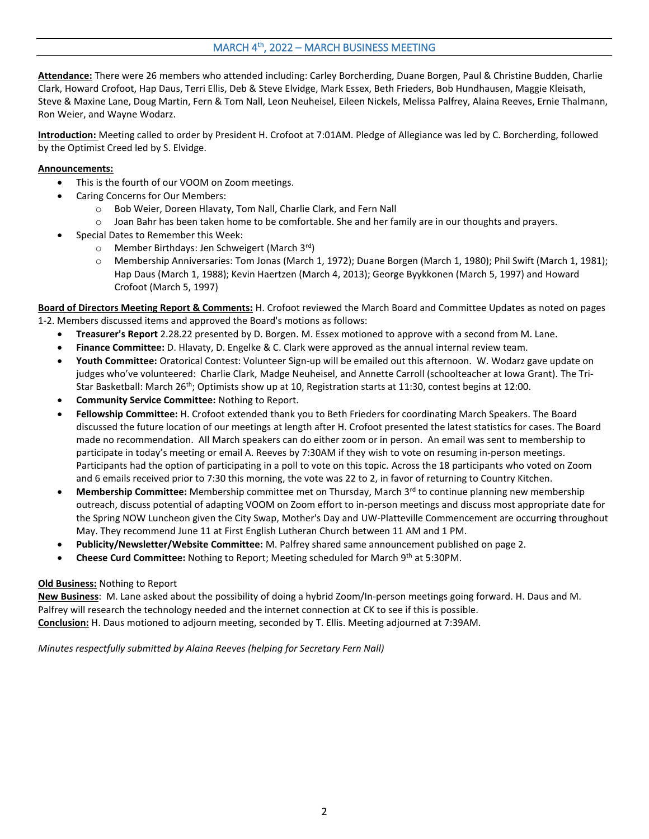# MARCH 4<sup>th</sup>, 2022 – MARCH BUSINESS MEETING

**Attendance:** There were 26 members who attended including: Carley Borcherding, Duane Borgen, Paul & Christine Budden, Charlie Clark, Howard Crofoot, Hap Daus, Terri Ellis, Deb & Steve Elvidge, Mark Essex, Beth Frieders, Bob Hundhausen, Maggie Kleisath, Steve & Maxine Lane, Doug Martin, Fern & Tom Nall, Leon Neuheisel, Eileen Nickels, Melissa Palfrey, Alaina Reeves, Ernie Thalmann, Ron Weier, and Wayne Wodarz.

**Introduction:** Meeting called to order by President H. Crofoot at 7:01AM. Pledge of Allegiance was led by C. Borcherding, followed by the Optimist Creed led by S. Elvidge.

# **Announcements:**

- This is the fourth of our VOOM on Zoom meetings.
- Caring Concerns for Our Members:
	- o Bob Weier, Doreen Hlavaty, Tom Nall, Charlie Clark, and Fern Nall
	- o Joan Bahr has been taken home to be comfortable. She and her family are in our thoughts and prayers.
- Special Dates to Remember this Week:
	- $\circ$  Member Birthdays: Jen Schweigert (March 3<sup>rd</sup>)
	- o Membership Anniversaries: Tom Jonas (March 1, 1972); Duane Borgen (March 1, 1980); Phil Swift (March 1, 1981); Hap Daus (March 1, 1988); Kevin Haertzen (March 4, 2013); George Byykkonen (March 5, 1997) and Howard Crofoot (March 5, 1997)

**Board of Directors Meeting Report & Comments:** H. Crofoot reviewed the March Board and Committee Updates as noted on pages 1-2. Members discussed items and approved the Board's motions as follows:

- **Treasurer's Report** 2.28.22 presented by D. Borgen. M. Essex motioned to approve with a second from M. Lane.
- **Finance Committee:** D. Hlavaty, D. Engelke & C. Clark were approved as the annual internal review team.
- **Youth Committee:** Oratorical Contest: Volunteer Sign-up will be emailed out this afternoon. W. Wodarz gave update on judges who've volunteered: Charlie Clark, Madge Neuheisel, and Annette Carroll (schoolteacher at Iowa Grant). The Tri-Star Basketball: March 26<sup>th</sup>; Optimists show up at 10, Registration starts at 11:30, contest begins at 12:00.
- **Community Service Committee:** Nothing to Report.
- **Fellowship Committee:** H. Crofoot extended thank you to Beth Frieders for coordinating March Speakers. The Board discussed the future location of our meetings at length after H. Crofoot presented the latest statistics for cases. The Board made no recommendation. All March speakers can do either zoom or in person. An email was sent to membership to participate in today's meeting or email A. Reeves by 7:30AM if they wish to vote on resuming in-person meetings. Participants had the option of participating in a poll to vote on this topic. Across the 18 participants who voted on Zoom and 6 emails received prior to 7:30 this morning, the vote was 22 to 2, in favor of returning to Country Kitchen.
- **Membership Committee:** Membership committee met on Thursday, March 3rd to continue planning new membership outreach, discuss potential of adapting VOOM on Zoom effort to in-person meetings and discuss most appropriate date for the Spring NOW Luncheon given the City Swap, Mother's Day and UW-Platteville Commencement are occurring throughout May. They recommend June 11 at First English Lutheran Church between 11 AM and 1 PM.
- **Publicity/Newsletter/Website Committee:** M. Palfrey shared same announcement published on page 2.
- **Cheese Curd Committee:** Nothing to Report; Meeting scheduled for March 9th at 5:30PM.

# **Old Business:** Nothing to Report

**New Business**: M. Lane asked about the possibility of doing a hybrid Zoom/In-person meetings going forward. H. Daus and M. Palfrey will research the technology needed and the internet connection at CK to see if this is possible. **Conclusion:** H. Daus motioned to adjourn meeting, seconded by T. Ellis. Meeting adjourned at 7:39AM.

*Minutes respectfully submitted by Alaina Reeves (helping for Secretary Fern Nall)*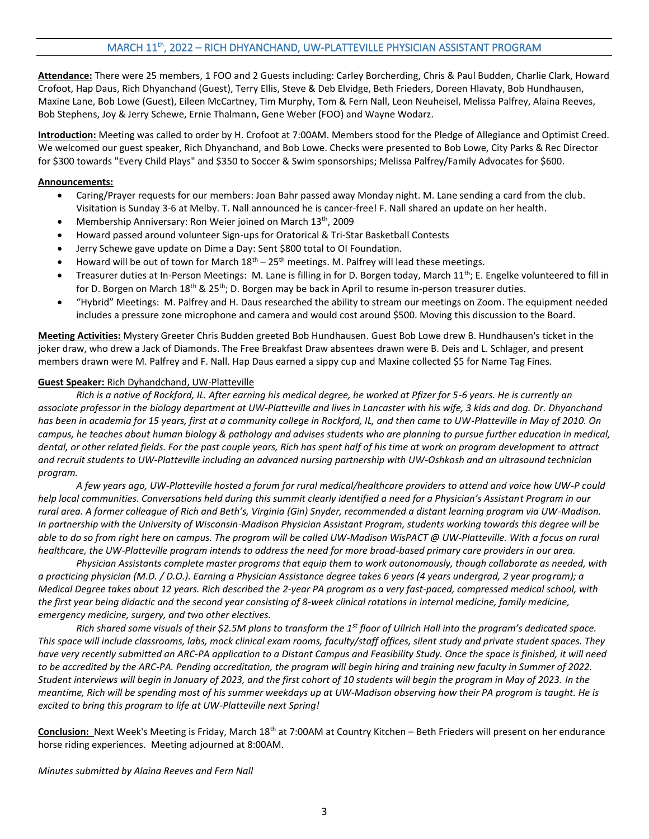# MARCH 11th, 2022 – RICH DHYANCHAND, UW-PLATTEVILLE PHYSICIAN ASSISTANT PROGRAM

**Attendance:** There were 25 members, 1 FOO and 2 Guests including: Carley Borcherding, Chris & Paul Budden, Charlie Clark, Howard Crofoot, Hap Daus, Rich Dhyanchand (Guest), Terry Ellis, Steve & Deb Elvidge, Beth Frieders, Doreen Hlavaty, Bob Hundhausen, Maxine Lane, Bob Lowe (Guest), Eileen McCartney, Tim Murphy, Tom & Fern Nall, Leon Neuheisel, Melissa Palfrey, Alaina Reeves, Bob Stephens, Joy & Jerry Schewe, Ernie Thalmann, Gene Weber (FOO) and Wayne Wodarz.

**Introduction:** Meeting was called to order by H. Crofoot at 7:00AM. Members stood for the Pledge of Allegiance and Optimist Creed. We welcomed our guest speaker, Rich Dhyanchand, and Bob Lowe. Checks were presented to Bob Lowe, City Parks & Rec Director for \$300 towards "Every Child Plays" and \$350 to Soccer & Swim sponsorships; Melissa Palfrey/Family Advocates for \$600.

#### **Announcements:**

- Caring/Prayer requests for our members: Joan Bahr passed away Monday night. M. Lane sending a card from the club. Visitation is Sunday 3-6 at Melby. T. Nall announced he is cancer-free! F. Nall shared an update on her health.
- Membership Anniversary: Ron Weier joined on March 13<sup>th</sup>, 2009
- Howard passed around volunteer Sign-ups for Oratorical & Tri-Star Basketball Contests
- Jerry Schewe gave update on Dime a Day: Sent \$800 total to OI Foundation.
- Howard will be out of town for March  $18<sup>th</sup> 25<sup>th</sup>$  meetings. M. Palfrey will lead these meetings.
- Treasurer duties at In-Person Meetings: M. Lane is filling in for D. Borgen today, March  $11^{th}$ ; E. Engelke volunteered to fill in for D. Borgen on March 18<sup>th</sup> & 25<sup>th</sup>; D. Borgen may be back in April to resume in-person treasurer duties.
- "Hybrid" Meetings: M. Palfrey and H. Daus researched the ability to stream our meetings on Zoom. The equipment needed includes a pressure zone microphone and camera and would cost around \$500. Moving this discussion to the Board.

**Meeting Activities:** Mystery Greeter Chris Budden greeted Bob Hundhausen. Guest Bob Lowe drew B. Hundhausen's ticket in the joker draw, who drew a Jack of Diamonds. The Free Breakfast Draw absentees drawn were B. Deis and L. Schlager, and present members drawn were M. Palfrey and F. Nall. Hap Daus earned a sippy cup and Maxine collected \$5 for Name Tag Fines.

#### **Guest Speaker:** Rich Dyhandchand, UW-Platteville

*Rich is a native of Rockford, IL. After earning his medical degree, he worked at Pfizer for 5-6 years. He is currently an associate professor in the biology department at UW-Platteville and lives in Lancaster with his wife, 3 kids and dog. Dr. Dhyanchand has been in academia for 15 years, first at a community college in Rockford, IL, and then came to UW-Platteville in May of 2010. On campus, he teaches about human biology & pathology and advises students who are planning to pursue further education in medical, dental, or other related fields. For the past couple years, Rich has spent half of his time at work on program development to attract and recruit students to UW-Platteville including an advanced nursing partnership with UW-Oshkosh and an ultrasound technician program.* 

*A few years ago, UW-Platteville hosted a forum for rural medical/healthcare providers to attend and voice how UW-P could help local communities. Conversations held during this summit clearly identified a need for a Physician's Assistant Program in our rural area. A former colleague of Rich and Beth's, Virginia (Gin) Snyder, recommended a distant learning program via UW-Madison. In partnership with the University of Wisconsin-Madison Physician Assistant Program, students working towards this degree will be able to do so from right here on campus. The program will be called UW-Madison WisPACT @ UW-Platteville. With a focus on rural healthcare, the UW-Platteville program intends to address the need for more broad-based primary care providers in our area.* 

*Physician Assistants complete master programs that equip them to work autonomously, though collaborate as needed, with a practicing physician (M.D. / D.O.). Earning a Physician Assistance degree takes 6 years (4 years undergrad, 2 year program); a Medical Degree takes about 12 years. Rich described the 2-year PA program as a very fast-paced, compressed medical school, with the first year being didactic and the second year consisting of 8-week clinical rotations in internal medicine, family medicine, emergency medicine, surgery, and two other electives.* 

*Rich shared some visuals of their \$2.5M plans to transform the 1st floor of Ullrich Hall into the program's dedicated space. This space will include classrooms, labs, mock clinical exam rooms, faculty/staff offices, silent study and private student spaces. They have very recently submitted an ARC-PA application to a Distant Campus and Feasibility Study. Once the space is finished, it will need to be accredited by the ARC-PA. Pending accreditation, the program will begin hiring and training new faculty in Summer of 2022. Student interviews will begin in January of 2023, and the first cohort of 10 students will begin the program in May of 2023. In the meantime, Rich will be spending most of his summer weekdays up at UW-Madison observing how their PA program is taught. He is excited to bring this program to life at UW-Platteville next Spring!*

Conclusion: Next Week's Meeting is Friday, March 18<sup>th</sup> at 7:00AM at Country Kitchen – Beth Frieders will present on her endurance horse riding experiences. Meeting adjourned at 8:00AM.

#### *Minutes submitted by Alaina Reeves and Fern Nall*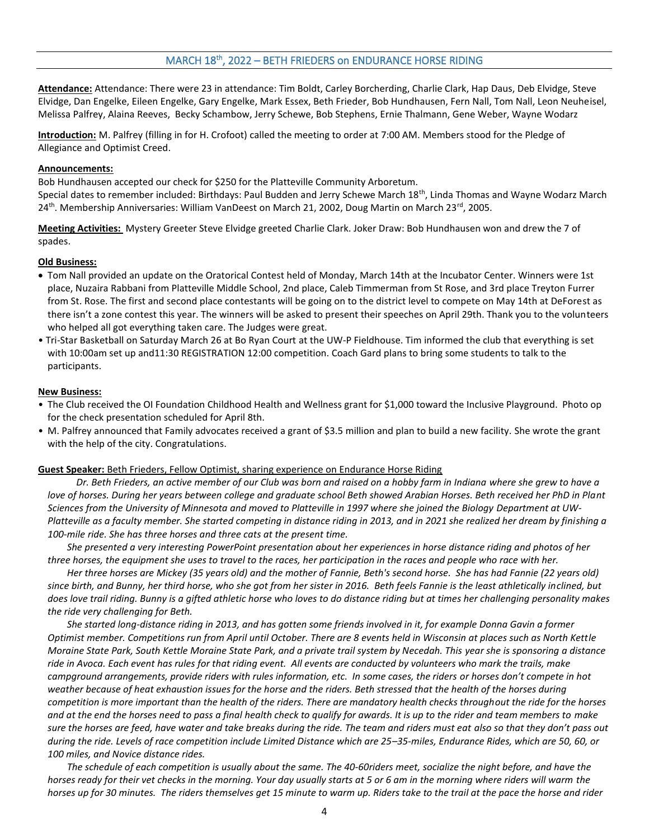# MARCH 18th, 2022 – BETH FRIEDERS on ENDURANCE HORSE RIDING

**Attendance:** Attendance: There were 23 in attendance: Tim Boldt, Carley Borcherding, Charlie Clark, Hap Daus, Deb Elvidge, Steve Elvidge, Dan Engelke, Eileen Engelke, Gary Engelke, Mark Essex, Beth Frieder, Bob Hundhausen, Fern Nall, Tom Nall, Leon Neuheisel, Melissa Palfrey, Alaina Reeves, Becky Schambow, Jerry Schewe, Bob Stephens, Ernie Thalmann, Gene Weber, Wayne Wodarz

**Introduction:** M. Palfrey (filling in for H. Crofoot) called the meeting to order at 7:00 AM. Members stood for the Pledge of Allegiance and Optimist Creed.

### **Announcements:**

Bob Hundhausen accepted our check for \$250 for the Platteville Community Arboretum. Special dates to remember included: Birthdays: Paul Budden and Jerry Schewe March 18th, Linda Thomas and Wayne Wodarz March 24<sup>th</sup>. Membership Anniversaries: William VanDeest on March 21, 2002, Doug Martin on March 23<sup>rd</sup>, 2005.

**Meeting Activities:** Mystery Greeter Steve Elvidge greeted Charlie Clark. Joker Draw: Bob Hundhausen won and drew the 7 of spades.

## **Old Business:**

- Tom Nall provided an update on the Oratorical Contest held of Monday, March 14th at the Incubator Center. Winners were 1st place, Nuzaira Rabbani from Platteville Middle School, 2nd place, Caleb Timmerman from St Rose, and 3rd place Treyton Furrer from St. Rose. The first and second place contestants will be going on to the district level to compete on May 14th at DeForest as there isn't a zone contest this year. The winners will be asked to present their speeches on April 29th. Thank you to the volunteers who helped all got everything taken care. The Judges were great.
- Tri-Star Basketball on Saturday March 26 at Bo Ryan Court at the UW-P Fieldhouse. Tim informed the club that everything is set with 10:00am set up and11:30 REGISTRATION 12:00 competition. Coach Gard plans to bring some students to talk to the participants.

#### **New Business:**

- The Club received the OI Foundation Childhood Health and Wellness grant for \$1,000 toward the Inclusive Playground. Photo op for the check presentation scheduled for April 8th.
- M. Palfrey announced that Family advocates received a grant of \$3.5 million and plan to build a new facility. She wrote the grant with the help of the city. Congratulations.

#### **Guest Speaker:** Beth Frieders, Fellow Optimist, sharing experience on Endurance Horse Riding

*Dr. Beth Frieders, an active member of our Club was born and raised on a hobby farm in Indiana where she grew to have a love of horses. During her years between college and graduate school Beth showed Arabian Horses. Beth received her PhD in Plant Sciences from the University of Minnesota and moved to Platteville in 1997 where she joined the Biology Department at UW-Platteville as a faculty member. She started competing in distance riding in 2013, and in 2021 she realized her dream by finishing a 100-mile ride. She has three horses and three cats at the present time.*

 *She presented a very interesting PowerPoint presentation about her experiences in horse distance riding and photos of her three horses, the equipment she uses to travel to the races, her participation in the races and people who race with her.*

 *Her three horses are Mickey (35 years old) and the mother of Fannie, Beth's second horse. She has had Fannie (22 years old) since birth, and Bunny, her third horse, who she got from her sister in 2016. Beth feels Fannie is the least athletically inclined, but does love trail riding. Bunny is a gifted athletic horse who loves to do distance riding but at times her challenging personality makes the ride very challenging for Beth.*

 *She started long-distance riding in 2013, and has gotten some friends involved in it, for example Donna Gavin a former Optimist member. Competitions run from April until October. There are 8 events held in Wisconsin at places such as North Kettle Moraine State Park, South Kettle Moraine State Park, and a private trail system by Necedah. This year she is sponsoring a distance ride in Avoca. Each event has rules for that riding event. All events are conducted by volunteers who mark the trails, make campground arrangements, provide riders with rules information, etc. In some cases, the riders or horses don't compete in hot weather because of heat exhaustion issues for the horse and the riders. Beth stressed that the health of the horses during competition is more important than the health of the riders. There are mandatory health checks throughout the ride for the horses*  and at the end the horses need to pass a final health check to qualify for awards. It is up to the rider and team members to make *sure the horses are feed, have water and take breaks during the ride. The team and riders must eat also so that they don't pass out during the ride. Levels of race competition include Limited Distance which are 25–35-miles, Endurance Rides, which are 50, 60, or 100 miles, and Novice distance rides.*

 *The schedule of each competition is usually about the same. The 40-60riders meet, socialize the night before, and have the horses ready for their vet checks in the morning. Your day usually starts at 5 or 6 am in the morning where riders will warm the horses up for 30 minutes. The riders themselves get 15 minute to warm up. Riders take to the trail at the pace the horse and rider*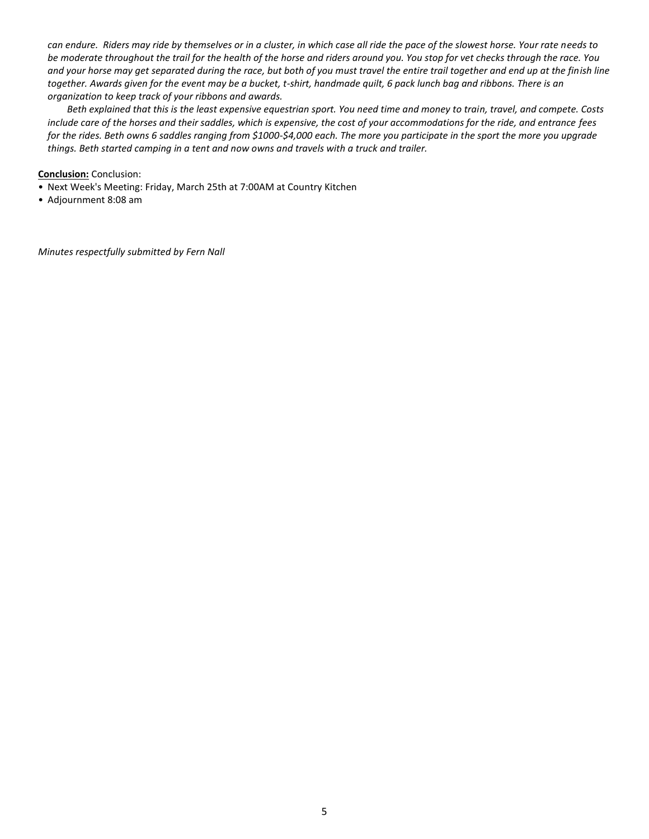*can endure. Riders may ride by themselves or in a cluster, in which case all ride the pace of the slowest horse. Your rate needs to be moderate throughout the trail for the health of the horse and riders around you. You stop for vet checks through the race. You*  and your horse may get separated during the race, but both of you must travel the entire trail together and end up at the finish line *together. Awards given for the event may be a bucket, t-shirt, handmade quilt, 6 pack lunch bag and ribbons. There is an organization to keep track of your ribbons and awards.*

 *Beth explained that this is the least expensive equestrian sport. You need time and money to train, travel, and compete. Costs include care of the horses and their saddles, which is expensive, the cost of your accommodations for the ride, and entrance fees for the rides. Beth owns 6 saddles ranging from \$1000-\$4,000 each. The more you participate in the sport the more you upgrade things. Beth started camping in a tent and now owns and travels with a truck and trailer.*

**Conclusion:** Conclusion:

- Next Week's Meeting: Friday, March 25th at 7:00AM at Country Kitchen
- Adjournment 8:08 am

*Minutes respectfully submitted by Fern Nall*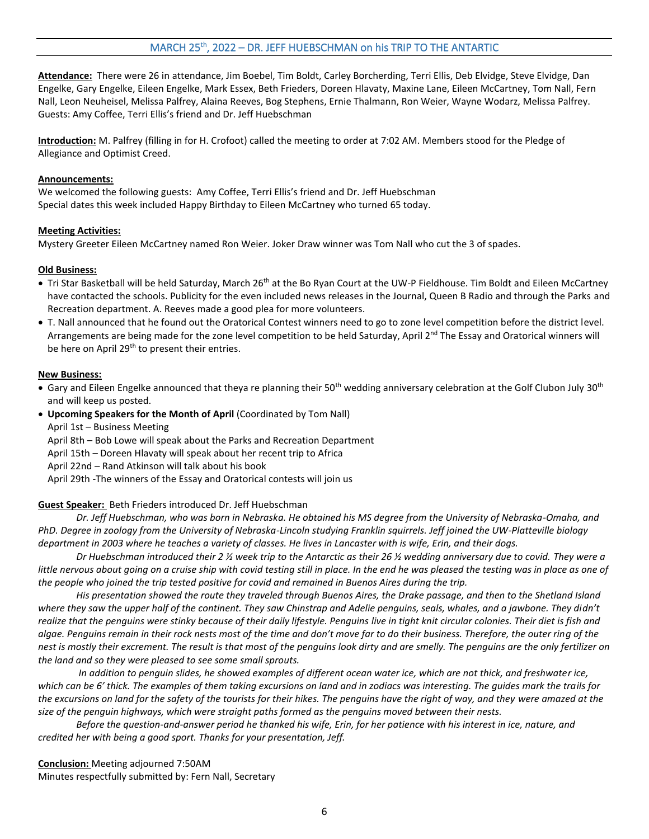**Attendance:** There were 26 in attendance, Jim Boebel, Tim Boldt, Carley Borcherding, Terri Ellis, Deb Elvidge, Steve Elvidge, Dan Engelke, Gary Engelke, Eileen Engelke, Mark Essex, Beth Frieders, Doreen Hlavaty, Maxine Lane, Eileen McCartney, Tom Nall, Fern Nall, Leon Neuheisel, Melissa Palfrey, Alaina Reeves, Bog Stephens, Ernie Thalmann, Ron Weier, Wayne Wodarz, Melissa Palfrey. Guests: Amy Coffee, Terri Ellis's friend and Dr. Jeff Huebschman

**Introduction:** M. Palfrey (filling in for H. Crofoot) called the meeting to order at 7:02 AM. Members stood for the Pledge of Allegiance and Optimist Creed.

## **Announcements:**

We welcomed the following guests: Amy Coffee, Terri Ellis's friend and Dr. Jeff Huebschman Special dates this week included Happy Birthday to Eileen McCartney who turned 65 today.

## **Meeting Activities:**

Mystery Greeter Eileen McCartney named Ron Weier. Joker Draw winner was Tom Nall who cut the 3 of spades.

# **Old Business:**

- Tri Star Basketball will be held Saturday, March 26<sup>th</sup> at the Bo Ryan Court at the UW-P Fieldhouse. Tim Boldt and Eileen McCartney have contacted the schools. Publicity for the even included news releases in the Journal, Queen B Radio and through the Parks and Recreation department. A. Reeves made a good plea for more volunteers.
- T. Nall announced that he found out the Oratorical Contest winners need to go to zone level competition before the district level. Arrangements are being made for the zone level competition to be held Saturday, April 2<sup>nd</sup> The Essay and Oratorical winners will be here on April 29<sup>th</sup> to present their entries.

## **New Business:**

- Gary and Eileen Engelke announced that theya re planning their 50<sup>th</sup> wedding anniversary celebration at the Golf Clubon July 30<sup>th</sup> and will keep us posted.
- **Upcoming Speakers for the Month of April** (Coordinated by Tom Nall)

April 1st – Business Meeting

April 8th – Bob Lowe will speak about the Parks and Recreation Department

April 15th – Doreen Hlavaty will speak about her recent trip to Africa

April 22nd – Rand Atkinson will talk about his book

April 29th -The winners of the Essay and Oratorical contests will join us

# **Guest Speaker:** Beth Frieders introduced Dr. Jeff Huebschman

*Dr. Jeff Huebschman, who was born in Nebraska. He obtained his MS degree from the University of Nebraska-Omaha, and PhD. Degree in zoology from the University of Nebraska-Lincoln studying Franklin squirrels. Jeff joined the UW-Platteville biology department in 2003 where he teaches a variety of classes. He lives in Lancaster with is wife, Erin, and their dogs.*

*Dr Huebschman introduced their 2 ½ week trip to the Antarctic as their 26 ½ wedding anniversary due to covid. They were a*  little nervous about going on a cruise ship with covid testing still in place. In the end he was pleased the testing was in place as one of *the people who joined the trip tested positive for covid and remained in Buenos Aires during the trip.*

*His presentation showed the route they traveled through Buenos Aires, the Drake passage, and then to the Shetland Island where they saw the upper half of the continent. They saw Chinstrap and Adelie penguins, seals, whales, and a jawbone. They didn't realize that the penguins were stinky because of their daily lifestyle. Penguins live in tight knit circular colonies. Their diet is fish and algae. Penguins remain in their rock nests most of the time and don't move far to do their business. Therefore, the outer ring of the nest is mostly their excrement. The result is that most of the penguins look dirty and are smelly. The penguins are the only fertilizer on the land and so they were pleased to see some small sprouts.*

*In addition to penguin slides, he showed examples of different ocean water ice, which are not thick, and freshwater ice,*  which can be 6' thick. The examples of them taking excursions on land and in zodiacs was interesting. The guides mark the trails for *the excursions on land for the safety of the tourists for their hikes. The penguins have the right of way, and they were amazed at the size of the penguin highways, which were straight paths formed as the penguins moved between their nests.* 

*Before the question-and-answer period he thanked his wife, Erin, for her patience with his interest in ice, nature, and credited her with being a good sport. Thanks for your presentation, Jeff.*

**Conclusion:** Meeting adjourned 7:50AM Minutes respectfully submitted by: Fern Nall, Secretary